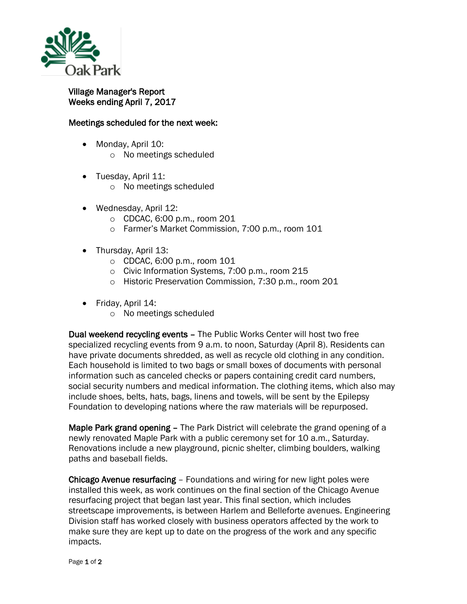

## Village Manager's Report Weeks ending April 7, 2017

## Meetings scheduled for the next week:

- Monday, April 10:
	- o No meetings scheduled
- Tuesday, April 11:
	- o No meetings scheduled
- Wednesday, April 12:
	- o CDCAC, 6:00 p.m., room 201
	- o Farmer's Market Commission, 7:00 p.m., room 101
- Thursday, April 13:
	- o CDCAC, 6:00 p.m., room 101
	- o Civic Information Systems, 7:00 p.m., room 215
	- o Historic Preservation Commission, 7:30 p.m., room 201
- Friday, April 14:
	- o No meetings scheduled

Dual weekend recycling events – The Public Works Center will host two free specialized recycling events from 9 a.m. to noon, Saturday (April 8). Residents can have private documents shredded, as well as recycle old clothing in any condition. Each household is limited to two bags or small boxes of documents with personal information such as canceled checks or papers containing credit card numbers, social security numbers and medical information. The clothing items, which also may include shoes, belts, hats, bags, linens and towels, will be sent by the Epilepsy Foundation to developing nations where the raw materials will be repurposed.

Maple Park grand opening – The Park District will celebrate the grand opening of a newly renovated Maple Park with a public ceremony set for 10 a.m., Saturday. Renovations include a new playground, picnic shelter, climbing boulders, walking paths and baseball fields.

Chicago Avenue resurfacing – Foundations and wiring for new light poles were installed this week, as work continues on the final section of the Chicago Avenue resurfacing project that began last year. This final section, which includes streetscape improvements, is between Harlem and Belleforte avenues. Engineering Division staff has worked closely with business operators affected by the work to make sure they are kept up to date on the progress of the work and any specific impacts.